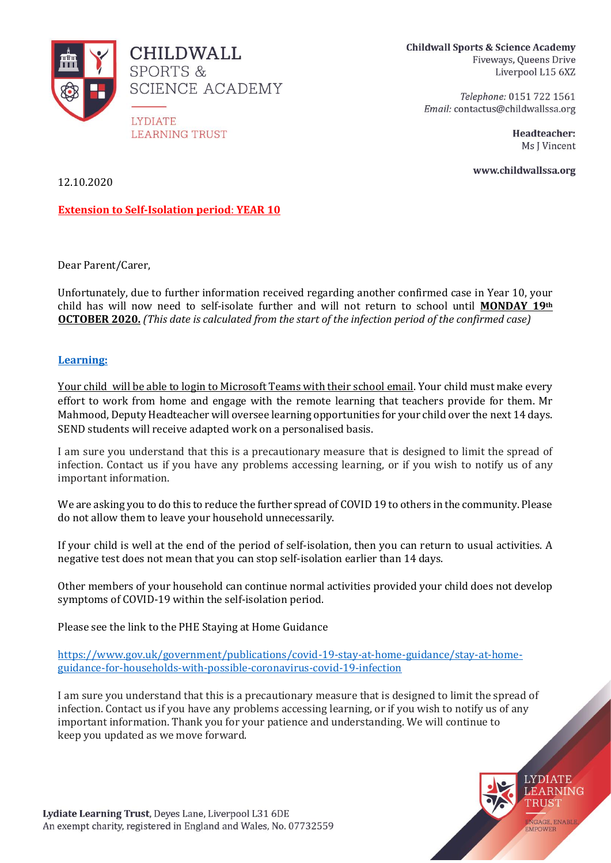

**CHILDWALL SPORTS & SCIENCE ACADEMY** 

**LYDIATE LEARNING TRUST**  **Childwall Sports & Science Academy** Fiveways, Queens Drive Liverpool L15 6XZ

Telephone: 0151 722 1561 Email: contactus@childwallssa.org

> Headteacher: Ms J Vincent

www.childwallssa.org

12.10.2020

**Extension to Self-Isolation period**: **YEAR 10**

Dear Parent/Carer,

Unfortunately, due to further information received regarding another confirmed case in Year 10, your child has will now need to self-isolate further and will not return to school until **MONDAY 19th OCTOBER 2020.** *(This date is calculated from the start of the infection period of the confirmed case)*

# **Learning:**

Your child will be able to login to Microsoft Teams with their school email. Your child must make every effort to work from home and engage with the remote learning that teachers provide for them. Mr Mahmood, Deputy Headteacher will oversee learning opportunities for your child over the next 14 days. SEND students will receive adapted work on a personalised basis.

I am sure you understand that this is a precautionary measure that is designed to limit the spread of infection. Contact us if you have any problems accessing learning, or if you wish to notify us of any important information.

We are asking you to do this to reduce the further spread of COVID 19 to others in the community. Please do not allow them to leave your household unnecessarily.

If your child is well at the end of the period of self-isolation, then you can return to usual activities. A negative test does not mean that you can stop self-isolation earlier than 14 days.

Other members of your household can continue normal activities provided your child does not develop symptoms of COVID-19 within the self-isolation period.

Please see the link to the PHE Staying at Home Guidance

[https://www.gov.uk/government/publications/covid-19-stay-at-home-guidance/stay-at-home](https://www.gov.uk/government/publications/covid-19-stay-at-home-guidance/stay-at-home-guidance-for-households-with-possible-coronavirus-covid-19-infection)[guidance-for-households-with-possible-coronavirus-covid-19-infection](https://www.gov.uk/government/publications/covid-19-stay-at-home-guidance/stay-at-home-guidance-for-households-with-possible-coronavirus-covid-19-infection)

I am sure you understand that this is a precautionary measure that is designed to limit the spread of infection. Contact us if you have any problems accessing learning, or if you wish to notify us of any important information. Thank you for your patience and understanding. We will continue to keep you updated as we move forward.